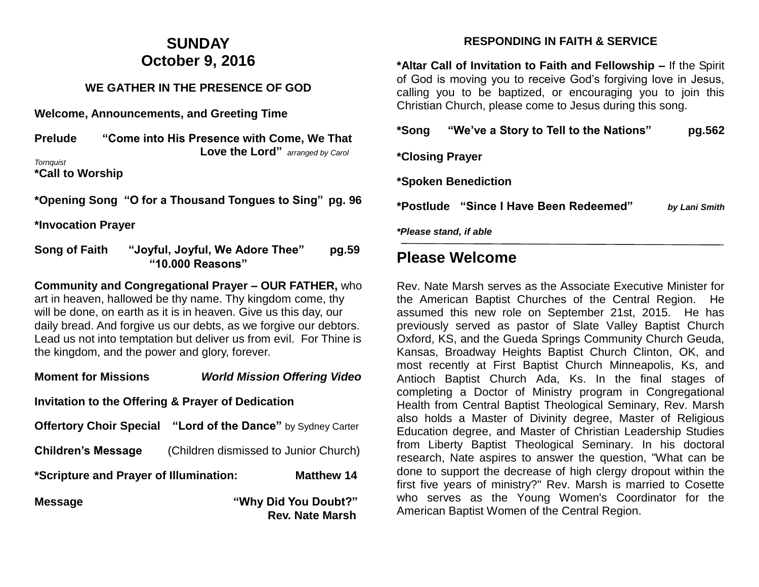# **SUNDAY October 9, 2016**

#### **WE GATHER IN THE PRESENCE OF GOD**

**Welcome, Announcements, and Greeting Time** 

| <b>Prelude</b> | "Come into His Presence with Come, We That |                                          |  |  |
|----------------|--------------------------------------------|------------------------------------------|--|--|
|                |                                            | <b>Love the Lord</b> " arranged by Carol |  |  |
| Tornquist      |                                            |                                          |  |  |
|                |                                            |                                          |  |  |

**\*Call to Worship** 

**\*Opening Song "O for a Thousand Tongues to Sing" pg. 96** 

**\*Invocation Prayer** 

**Song of Faith "Joyful, Joyful, We Adore Thee" pg.59 "10.000 Reasons"**

**Community and Congregational Prayer – OUR FATHER,** who art in heaven, hallowed be thy name. Thy kingdom come, thy will be done, on earth as it is in heaven. Give us this day, our daily bread. And forgive us our debts, as we forgive our debtors. Lead us not into temptation but deliver us from evil. For Thine is the kingdom, and the power and glory, forever.

### **Moment for Missions** *World Mission Offering Video*

#### **Invitation to the Offering & Prayer of Dedication**

| <b>Offertory Choir Special</b>         | "Lord of the Dance" by Sydney Carter  |                                                |
|----------------------------------------|---------------------------------------|------------------------------------------------|
| <b>Children's Message</b>              | (Children dismissed to Junior Church) |                                                |
| *Scripture and Prayer of Illumination: |                                       | <b>Matthew 14</b>                              |
| <b>Message</b>                         |                                       | "Why Did You Doubt?"<br><b>Rev. Nate Marsh</b> |

#### **RESPONDING IN FAITH & SERVICE**

**\*Altar Call of Invitation to Faith and Fellowship –** If the Spirit of God is moving you to receive God's forgiving love in Jesus, calling you to be baptized, or encouraging you to join this Christian Church, please come to Jesus during this song.

|                        | *Please stand, if able                 |               |
|------------------------|----------------------------------------|---------------|
|                        |                                        | by Lani Smith |
|                        | *Spoken Benediction                    |               |
| <i>*Closing Prayer</i> |                                        |               |
| *Song                  | "We've a Story to Tell to the Nations" | pg.562        |

### **Please Welcome**

Rev. Nate Marsh serves as the Associate Executive Minister for the American Baptist Churches of the Central Region. He assumed this new role on September 21st, 2015. He has previously served as pastor of Slate Valley Baptist Church Oxford, KS, and the Gueda Springs Community Church Geuda, Kansas, Broadway Heights Baptist Church Clinton, OK, and most recently at First Baptist Church Minneapolis, Ks, and Antioch Baptist Church Ada, Ks. In the final stages of completing a Doctor of Ministry program in Congregational Health from Central Baptist Theological Seminary, Rev. Marsh also holds a Master of Divinity degree, Master of Religious Education degree, and Master of Christian Leadership Studies from Liberty Baptist Theological Seminary. In his doctoral research, Nate aspires to answer the question, "What can be done to support the decrease of high clergy dropout within the first five years of ministry?" Rev. Marsh is married to Cosette who serves as the Young Women's Coordinator for the American Baptist Women of the Central Region.